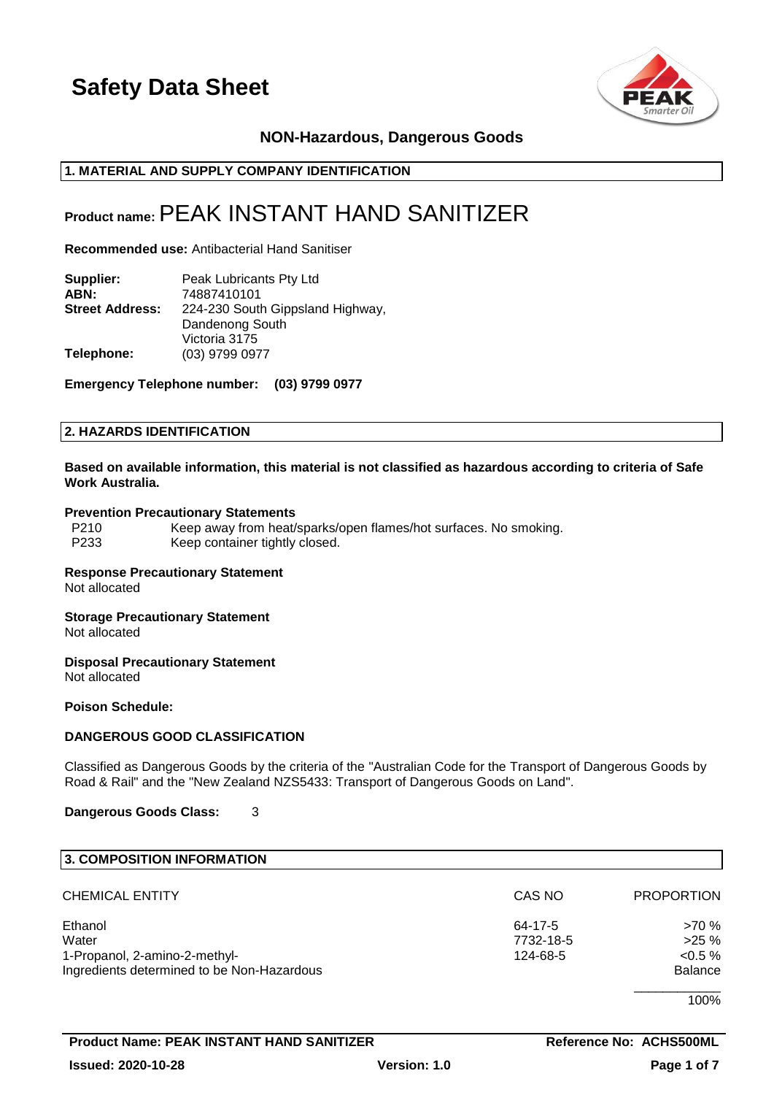

# **NON-Hazardous, Dangerous Goods**

# **1. MATERIAL AND SUPPLY COMPANY IDENTIFICATION**

# **Product name:**PEAK INSTANT HAND SANITIZER

**Recommended use:** Antibacterial Hand Sanitiser

**Supplier:** Peak Lubricants Pty Ltd<br>**ABN:** 74887410101 **ABN:** 74887410101 **Street Address:** 224-230 South Gippsland Highway, Dandenong South Victoria 3175 **Telephone:** (03) 9799 0977

**Emergency Telephone number: (03) 9799 0977**

### **2. HAZARDS IDENTIFICATION**

### **Based on available information, this material is not classified as hazardous according to criteria of Safe Work Australia.**

### **Prevention Precautionary Statements**

| P210 | Keep away from heat/sparks/open flames/hot surfaces. No smoking. |
|------|------------------------------------------------------------------|
| P233 | Keep container tightly closed.                                   |

### **Response Precautionary Statement**

Not allocated

**Storage Precautionary Statement** Not allocated

**Disposal Precautionary Statement** Not allocated

**Poison Schedule:**

# **DANGEROUS GOOD CLASSIFICATION**

Classified as Dangerous Goods by the criteria of the "Australian Code for the Transport of Dangerous Goods by Road & Rail" and the "New Zealand NZS5433: Transport of Dangerous Goods on Land".

**Dangerous Goods Class:** 3

| 3. COMPOSITION INFORMATION                 |           |                   |
|--------------------------------------------|-----------|-------------------|
| <b>CHEMICAL ENTITY</b>                     | CAS NO    | <b>PROPORTION</b> |
| Ethanol                                    | 64-17-5   | >70 %             |
| Water                                      | 7732-18-5 | $>25\%$           |
| 1-Propanol, 2-amino-2-methyl-              | 124-68-5  | $< 0.5 \%$        |
| Ingredients determined to be Non-Hazardous |           | <b>Balance</b>    |
|                                            |           | 100%              |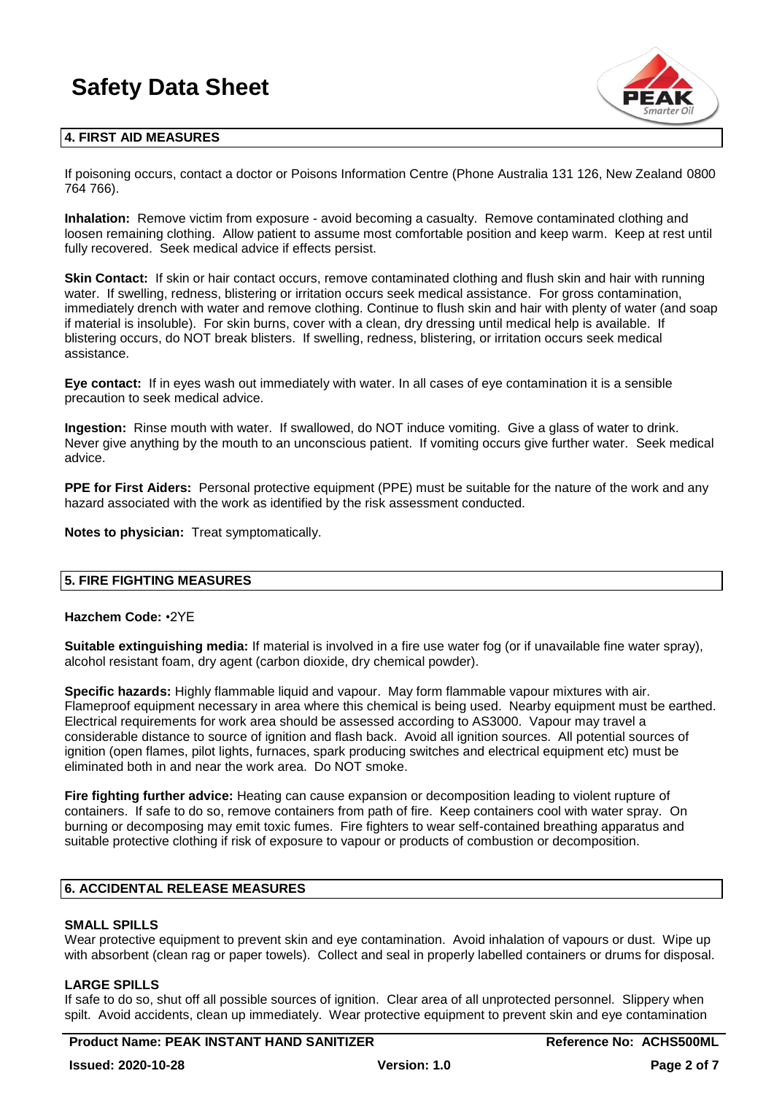

# **4. FIRST AID MEASURES**

If poisoning occurs, contact a doctor or Poisons Information Centre (Phone Australia 131 126, New Zealand 0800 764 766).

**Inhalation:** Remove victim from exposure - avoid becoming a casualty. Remove contaminated clothing and loosen remaining clothing. Allow patient to assume most comfortable position and keep warm. Keep at rest until fully recovered. Seek medical advice if effects persist.

**Skin Contact:** If skin or hair contact occurs, remove contaminated clothing and flush skin and hair with running water. If swelling, redness, blistering or irritation occurs seek medical assistance. For gross contamination, immediately drench with water and remove clothing. Continue to flush skin and hair with plenty of water (and soap if material is insoluble). For skin burns, cover with a clean, dry dressing until medical help is available. If blistering occurs, do NOT break blisters. If swelling, redness, blistering, or irritation occurs seek medical assistance.

**Eye contact:** If in eyes wash out immediately with water. In all cases of eye contamination it is a sensible precaution to seek medical advice.

**Ingestion:** Rinse mouth with water. If swallowed, do NOT induce vomiting. Give a glass of water to drink. Never give anything by the mouth to an unconscious patient. If vomiting occurs give further water. Seek medical advice.

**PPE for First Aiders:** Personal protective equipment (PPE) must be suitable for the nature of the work and any hazard associated with the work as identified by the risk assessment conducted.

**Notes to physician:** Treat symptomatically.

### **5. FIRE FIGHTING MEASURES**

### **Hazchem Code:** •2YE

**Suitable extinguishing media:** If material is involved in a fire use water fog (or if unavailable fine water spray), alcohol resistant foam, dry agent (carbon dioxide, dry chemical powder).

**Specific hazards:** Highly flammable liquid and vapour. May form flammable vapour mixtures with air. Flameproof equipment necessary in area where this chemical is being used. Nearby equipment must be earthed. Electrical requirements for work area should be assessed according to AS3000. Vapour may travel a considerable distance to source of ignition and flash back. Avoid all ignition sources. All potential sources of ignition (open flames, pilot lights, furnaces, spark producing switches and electrical equipment etc) must be eliminated both in and near the work area. Do NOT smoke.

**Fire fighting further advice:** Heating can cause expansion or decomposition leading to violent rupture of containers. If safe to do so, remove containers from path of fire. Keep containers cool with water spray. On burning or decomposing may emit toxic fumes. Fire fighters to wear self-contained breathing apparatus and suitable protective clothing if risk of exposure to vapour or products of combustion or decomposition.

# **6. ACCIDENTAL RELEASE MEASURES**

# **SMALL SPILLS**

Wear protective equipment to prevent skin and eye contamination. Avoid inhalation of vapours or dust. Wipe up with absorbent (clean rag or paper towels). Collect and seal in properly labelled containers or drums for disposal.

# **LARGE SPILLS**

If safe to do so, shut off all possible sources of ignition. Clear area of all unprotected personnel. Slippery when spilt. Avoid accidents, clean up immediately. Wear protective equipment to prevent skin and eye contamination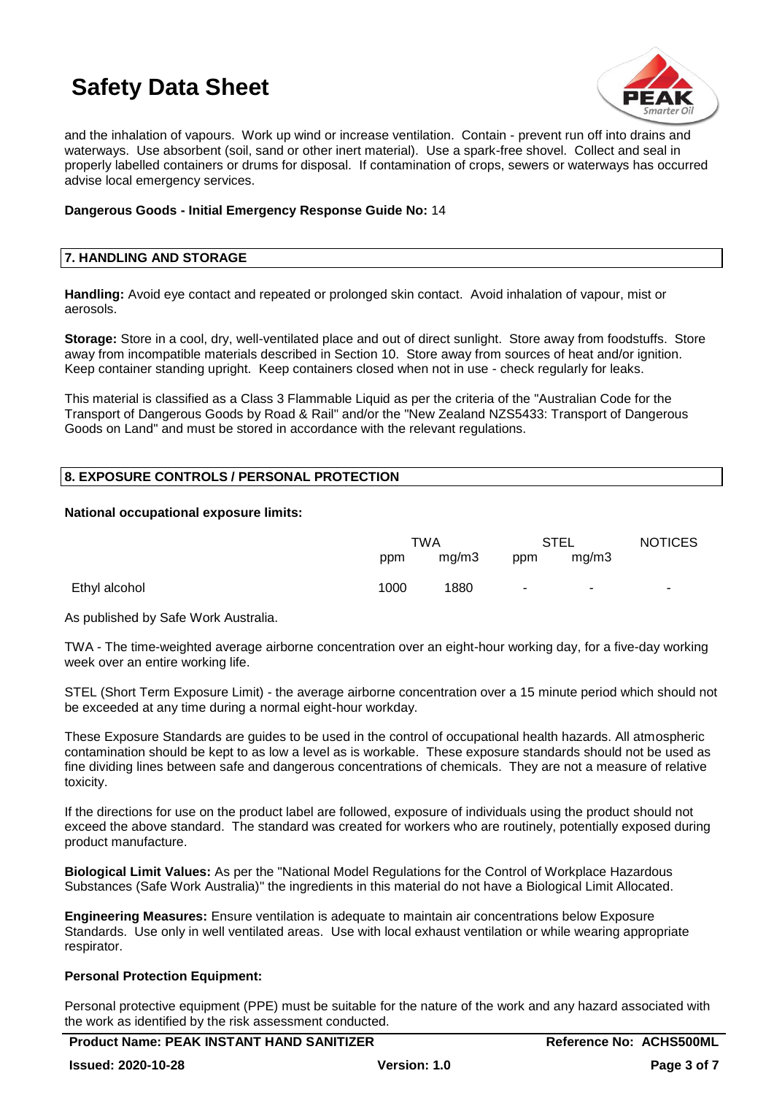

and the inhalation of vapours. Work up wind or increase ventilation. Contain - prevent run off into drains and waterways. Use absorbent (soil, sand or other inert material). Use a spark-free shovel. Collect and seal in properly labelled containers or drums for disposal. If contamination of crops, sewers or waterways has occurred advise local emergency services.

### **Dangerous Goods - Initial Emergency Response Guide No:** 14

# **7. HANDLING AND STORAGE**

**Handling:** Avoid eye contact and repeated or prolonged skin contact. Avoid inhalation of vapour, mist or aerosols.

**Storage:** Store in a cool, dry, well-ventilated place and out of direct sunlight. Store away from foodstuffs. Store away from incompatible materials described in Section 10. Store away from sources of heat and/or ignition. Keep container standing upright. Keep containers closed when not in use - check regularly for leaks.

This material is classified as a Class 3 Flammable Liquid as per the criteria of the "Australian Code for the Transport of Dangerous Goods by Road & Rail" and/or the "New Zealand NZS5433: Transport of Dangerous Goods on Land" and must be stored in accordance with the relevant regulations.

# **8. EXPOSURE CONTROLS / PERSONAL PROTECTION**

### **National occupational exposure limits:**

|               | TWA  |       | STEL   |        | <b>NOTICES</b> |
|---------------|------|-------|--------|--------|----------------|
|               | ppm  | mg/m3 | ppm    | mg/m3  |                |
| Ethyl alcohol | 1000 | 1880  | $\sim$ | $\sim$ | $\blacksquare$ |

As published by Safe Work Australia.

TWA - The time-weighted average airborne concentration over an eight-hour working day, for a five-day working week over an entire working life.

STEL (Short Term Exposure Limit) - the average airborne concentration over a 15 minute period which should not be exceeded at any time during a normal eight-hour workday.

These Exposure Standards are guides to be used in the control of occupational health hazards. All atmospheric contamination should be kept to as low a level as is workable. These exposure standards should not be used as fine dividing lines between safe and dangerous concentrations of chemicals. They are not a measure of relative toxicity.

If the directions for use on the product label are followed, exposure of individuals using the product should not exceed the above standard. The standard was created for workers who are routinely, potentially exposed during product manufacture.

**Biological Limit Values:** As per the "National Model Regulations for the Control of Workplace Hazardous Substances (Safe Work Australia)" the ingredients in this material do not have a Biological Limit Allocated.

**Engineering Measures:** Ensure ventilation is adequate to maintain air concentrations below Exposure Standards. Use only in well ventilated areas. Use with local exhaust ventilation or while wearing appropriate respirator.

# **Personal Protection Equipment:**

Personal protective equipment (PPE) must be suitable for the nature of the work and any hazard associated with the work as identified by the risk assessment conducted.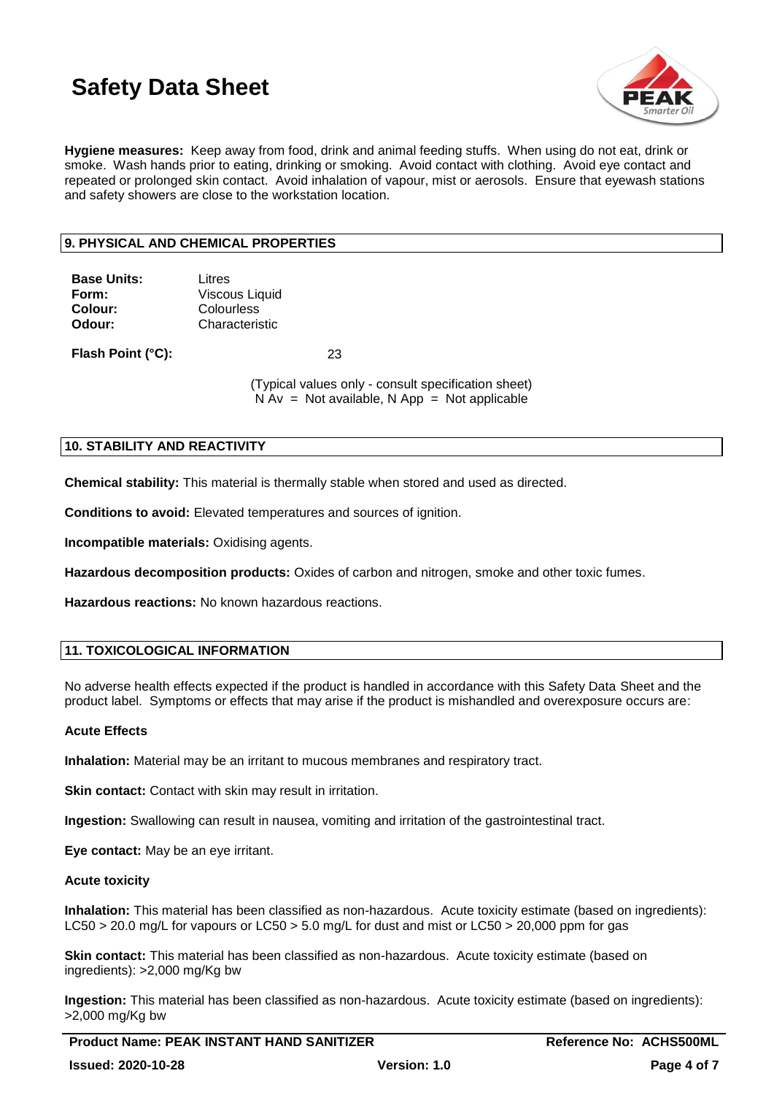

**Hygiene measures:** Keep away from food, drink and animal feeding stuffs. When using do not eat, drink or smoke. Wash hands prior to eating, drinking or smoking. Avoid contact with clothing. Avoid eye contact and repeated or prolonged skin contact. Avoid inhalation of vapour, mist or aerosols. Ensure that eyewash stations and safety showers are close to the workstation location.

# **9. PHYSICAL AND CHEMICAL PROPERTIES**

| <b>Base Units:</b> | Litres                |
|--------------------|-----------------------|
| Form:              | <b>Viscous Liquid</b> |
| Colour:            | Colourless            |
| Odour:             | Characteristic        |
|                    |                       |

**Flash Point (°C):** 23

(Typical values only - consult specification sheet)  $N Av = Not available, N App = Not applicable$ 

# **10. STABILITY AND REACTIVITY**

**Chemical stability:** This material is thermally stable when stored and used as directed.

**Conditions to avoid:** Elevated temperatures and sources of ignition.

**Incompatible materials:** Oxidising agents.

**Hazardous decomposition products:** Oxides of carbon and nitrogen, smoke and other toxic fumes.

**Hazardous reactions:** No known hazardous reactions.

# **11. TOXICOLOGICAL INFORMATION**

No adverse health effects expected if the product is handled in accordance with this Safety Data Sheet and the product label. Symptoms or effects that may arise if the product is mishandled and overexposure occurs are:

### **Acute Effects**

**Inhalation:** Material may be an irritant to mucous membranes and respiratory tract.

**Skin contact:** Contact with skin may result in irritation.

**Ingestion:** Swallowing can result in nausea, vomiting and irritation of the gastrointestinal tract.

**Eye contact:** May be an eye irritant.

### **Acute toxicity**

**Inhalation:** This material has been classified as non-hazardous. Acute toxicity estimate (based on ingredients): LC50 > 20.0 mg/L for vapours or LC50 > 5.0 mg/L for dust and mist or LC50 > 20,000 ppm for gas

**Skin contact:** This material has been classified as non-hazardous. Acute toxicity estimate (based on ingredients): >2,000 mg/Kg bw

**Ingestion:** This material has been classified as non-hazardous. Acute toxicity estimate (based on ingredients): >2,000 mg/Kg bw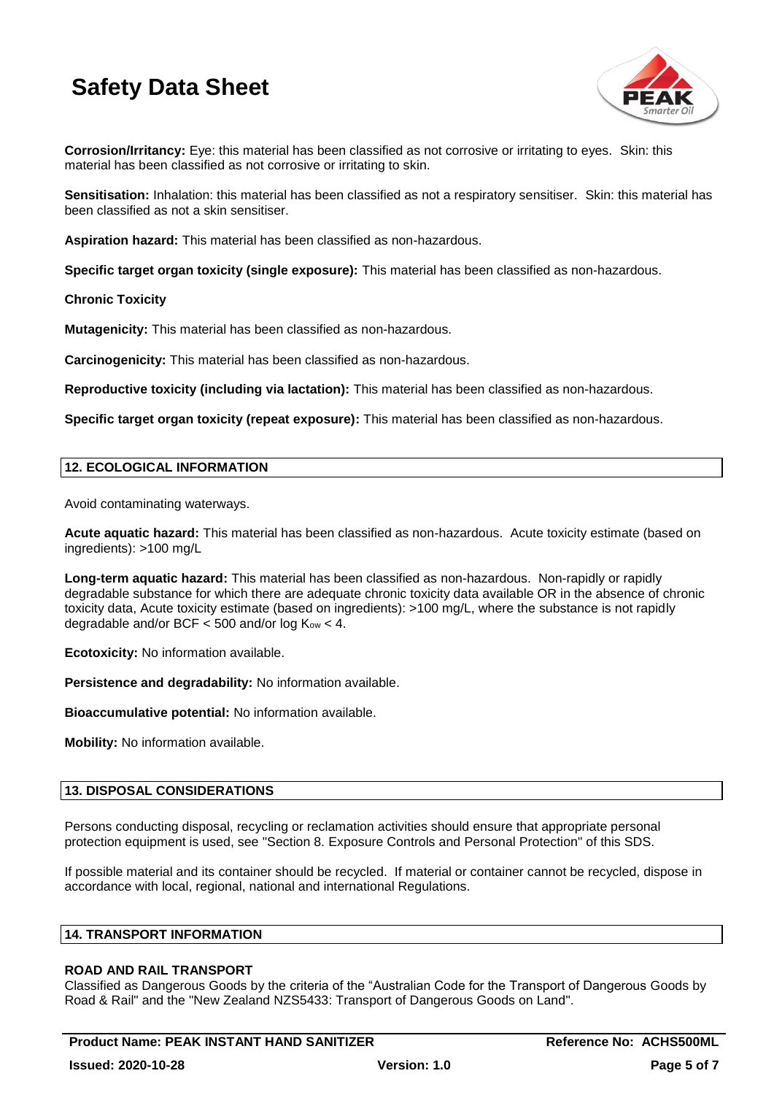

**Corrosion/Irritancy:** Eye: this material has been classified as not corrosive or irritating to eyes. Skin: this material has been classified as not corrosive or irritating to skin.

**Sensitisation:** Inhalation: this material has been classified as not a respiratory sensitiser. Skin: this material has been classified as not a skin sensitiser.

**Aspiration hazard:** This material has been classified as non-hazardous.

**Specific target organ toxicity (single exposure):** This material has been classified as non-hazardous.

### **Chronic Toxicity**

**Mutagenicity:** This material has been classified as non-hazardous.

**Carcinogenicity:** This material has been classified as non-hazardous.

**Reproductive toxicity (including via lactation):** This material has been classified as non-hazardous.

**Specific target organ toxicity (repeat exposure):** This material has been classified as non-hazardous.

### **12. ECOLOGICAL INFORMATION**

Avoid contaminating waterways.

**Acute aquatic hazard:** This material has been classified as non-hazardous. Acute toxicity estimate (based on ingredients): >100 mg/L

**Long-term aquatic hazard:** This material has been classified as non-hazardous. Non-rapidly or rapidly degradable substance for which there are adequate chronic toxicity data available OR in the absence of chronic toxicity data, Acute toxicity estimate (based on ingredients): >100 mg/L, where the substance is not rapidly degradable and/or BCF  $<$  500 and/or log  $K_{ow}$   $<$  4.

**Ecotoxicity:** No information available.

**Persistence and degradability:** No information available.

**Bioaccumulative potential:** No information available.

**Mobility:** No information available.

### **13. DISPOSAL CONSIDERATIONS**

Persons conducting disposal, recycling or reclamation activities should ensure that appropriate personal protection equipment is used, see "Section 8. Exposure Controls and Personal Protection" of this SDS.

If possible material and its container should be recycled. If material or container cannot be recycled, dispose in accordance with local, regional, national and international Regulations.

### **14. TRANSPORT INFORMATION**

### **ROAD AND RAIL TRANSPORT**

Classified as Dangerous Goods by the criteria of the "Australian Code for the Transport of Dangerous Goods by Road & Rail" and the "New Zealand NZS5433: Transport of Dangerous Goods on Land".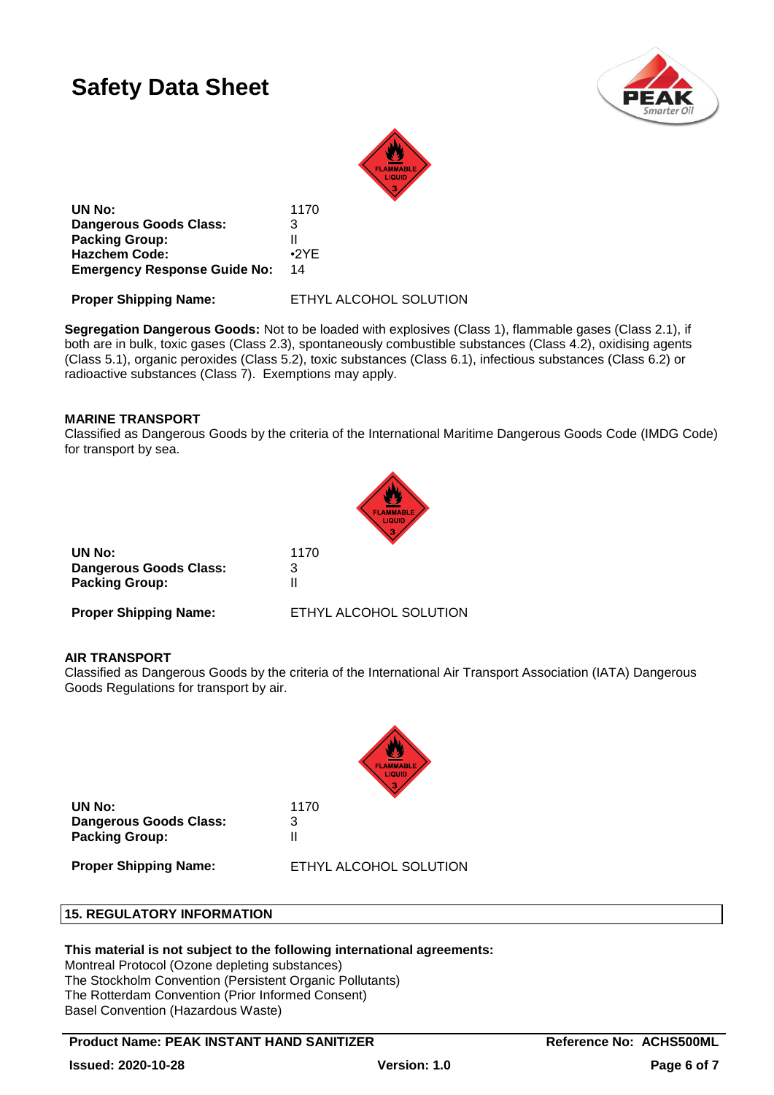



**UN No:** 1170 **Dangerous Goods Class:** 3 **Packing Group:** II **Hazchem Code:** •2YE **Emergency Response Guide No:** 14

**Proper Shipping Name:** ETHYL ALCOHOL SOLUTION

**Segregation Dangerous Goods:** Not to be loaded with explosives (Class 1), flammable gases (Class 2.1), if both are in bulk, toxic gases (Class 2.3), spontaneously combustible substances (Class 4.2), oxidising agents (Class 5.1), organic peroxides (Class 5.2), toxic substances (Class 6.1), infectious substances (Class 6.2) or radioactive substances (Class 7). Exemptions may apply.

# **MARINE TRANSPORT**

Classified as Dangerous Goods by the criteria of the International Maritime Dangerous Goods Code (IMDG Code) for transport by sea.



| UN No:                        | 1170                   |
|-------------------------------|------------------------|
| <b>Dangerous Goods Class:</b> | 3                      |
| <b>Packing Group:</b>         |                        |
| <b>Proper Shipping Name:</b>  | ETHYL ALCOHOL SOLUTION |

# **AIR TRANSPORT**

Classified as Dangerous Goods by the criteria of the International Air Transport Association (IATA) Dangerous Goods Regulations for transport by air.



**UN No:** 1170 **Dangerous Goods Class:** 3 **Packing Group:** II

**Proper Shipping Name:** ETHYL ALCOHOL SOLUTION

# **15. REGULATORY INFORMATION**

# **This material is not subject to the following international agreements:**

Montreal Protocol (Ozone depleting substances) The Stockholm Convention (Persistent Organic Pollutants) The Rotterdam Convention (Prior Informed Consent) Basel Convention (Hazardous Waste)

**Product Name: PEAK INSTANT HAND SANITIZER THE REFERENCE REFERENCE ARE REFERENCE ACHS500ML**